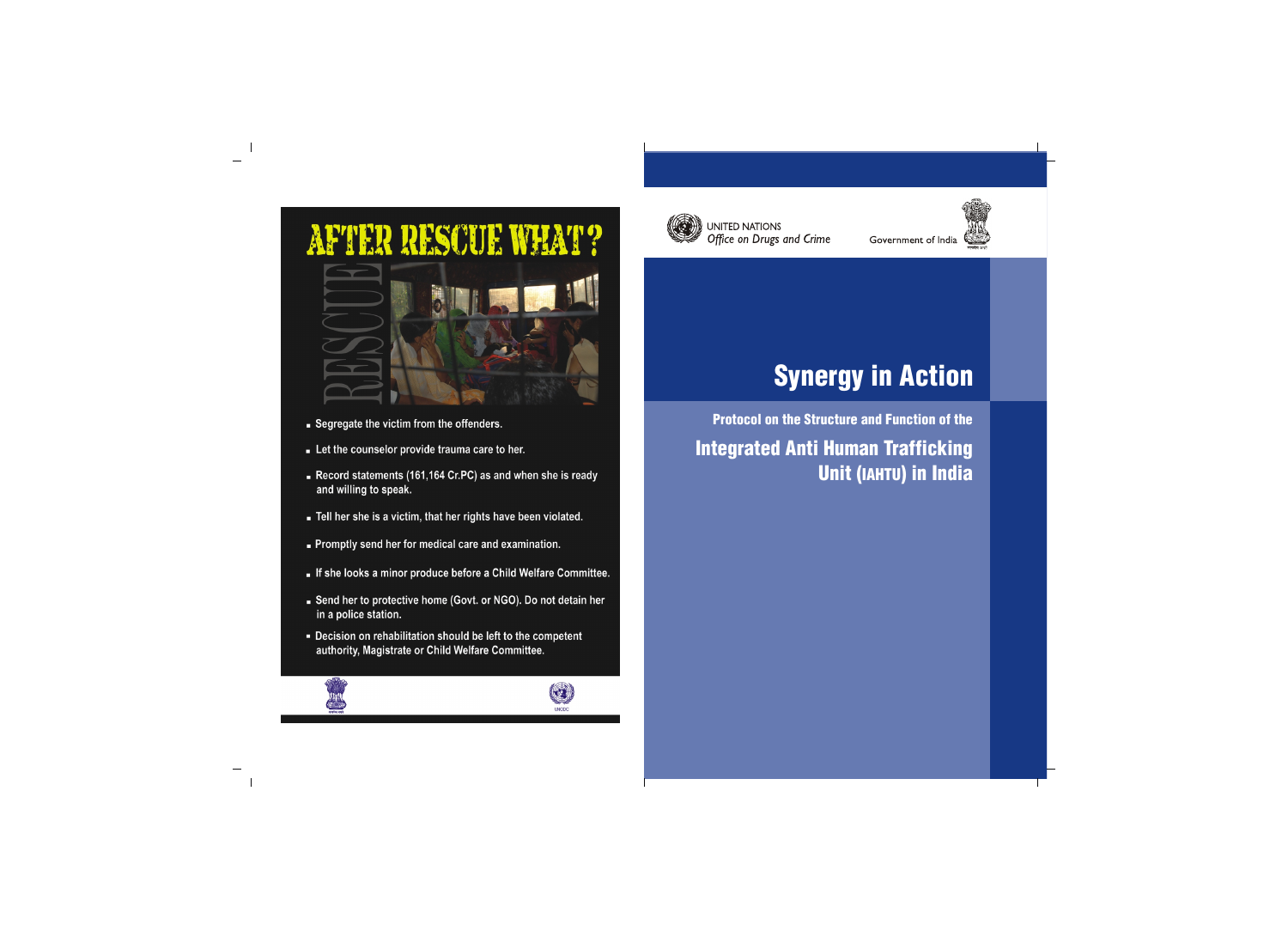

**UNITED NATIONS** Office on Drugs and Crime Government of India



# Synergy in Action

Protocol on the Structure and Function of the Integrated Anti Human Trafficking Unit (IAHTU) in India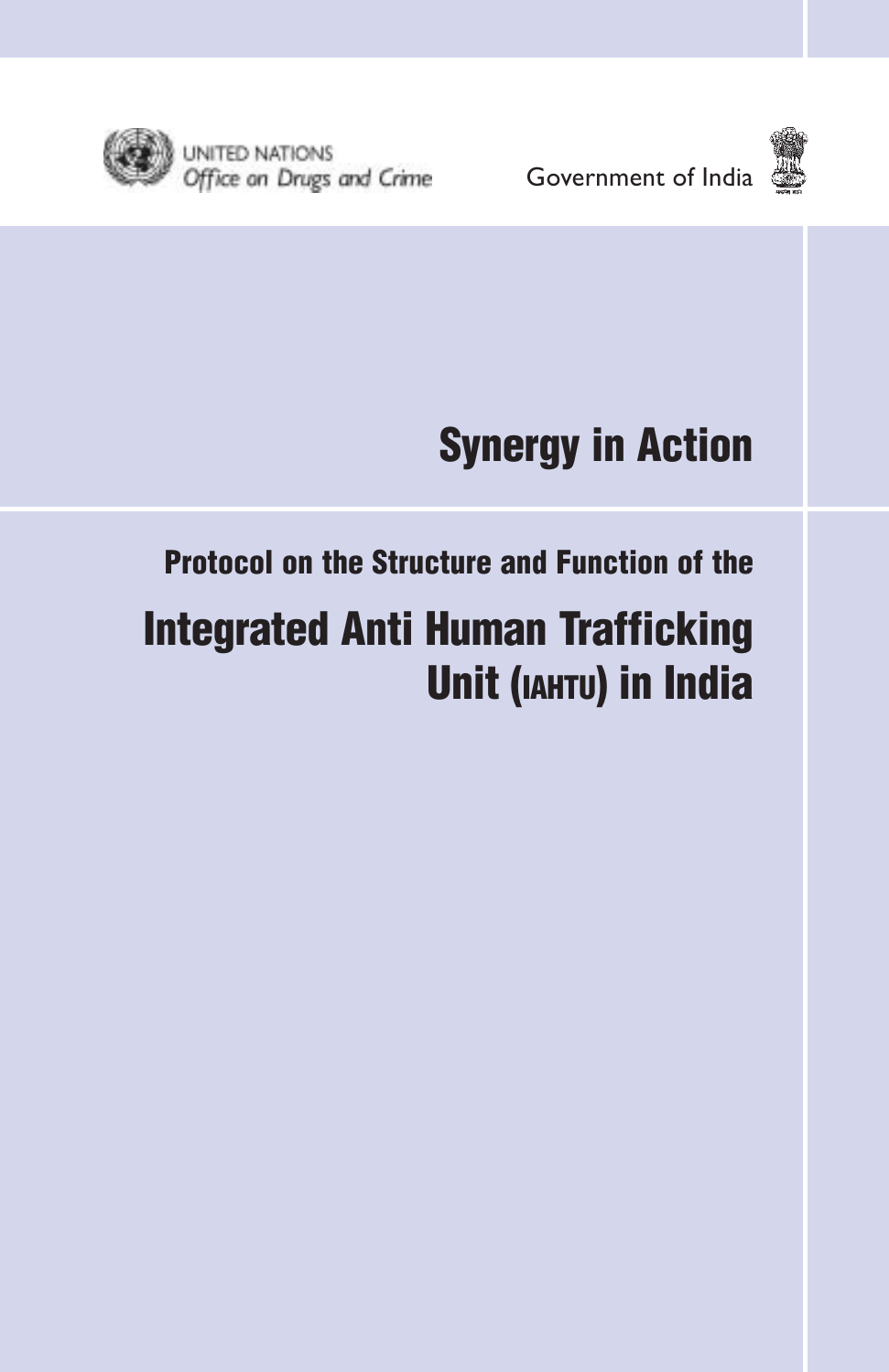



## Synergy in Action

### Protocol on the Structure and Function of the

### Integrated Anti Human Trafficking Unit (IAHTU) in India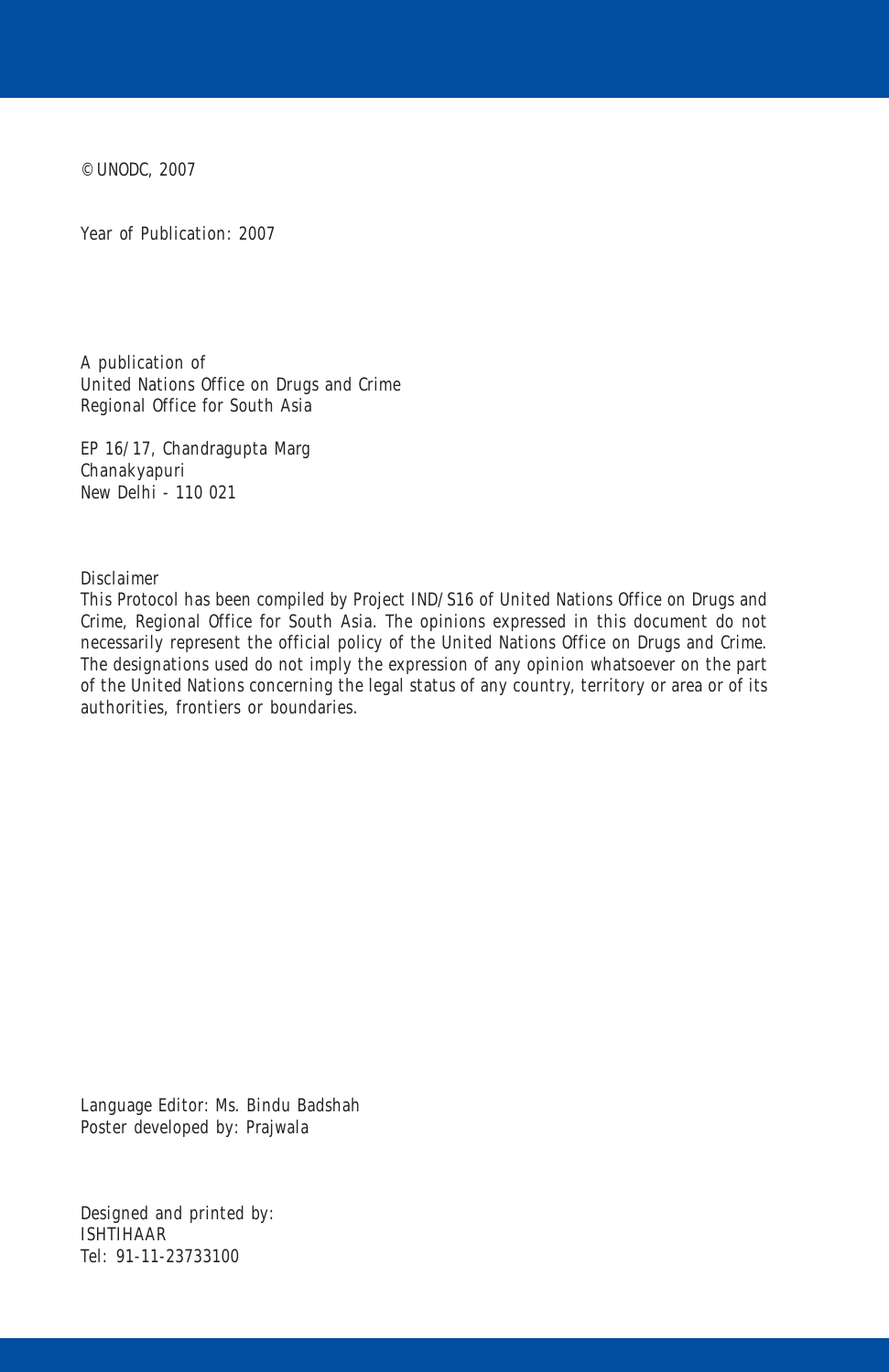© UNODC, 2007

Year of Publication: 2007

A publication of United Nations Office on Drugs and Crime Regional Office for South Asia

EP 16/17, Chandragupta Marg Chanakyapuri New Delhi - 110 021

Disclaimer

This Protocol has been compiled by Project IND/S16 of United Nations Office on Drugs and Crime, Regional Office for South Asia. The opinions expressed in this document do not necessarily represent the official policy of the United Nations Office on Drugs and Crime. The designations used do not imply the expression of any opinion whatsoever on the part of the United Nations concerning the legal status of any country, territory or area or of its authorities, frontiers or boundaries.

Language Editor: Ms. Bindu Badshah Poster developed by: Prajwala

Designed and printed by: ISHTIHAAR Tel: 91-11-23733100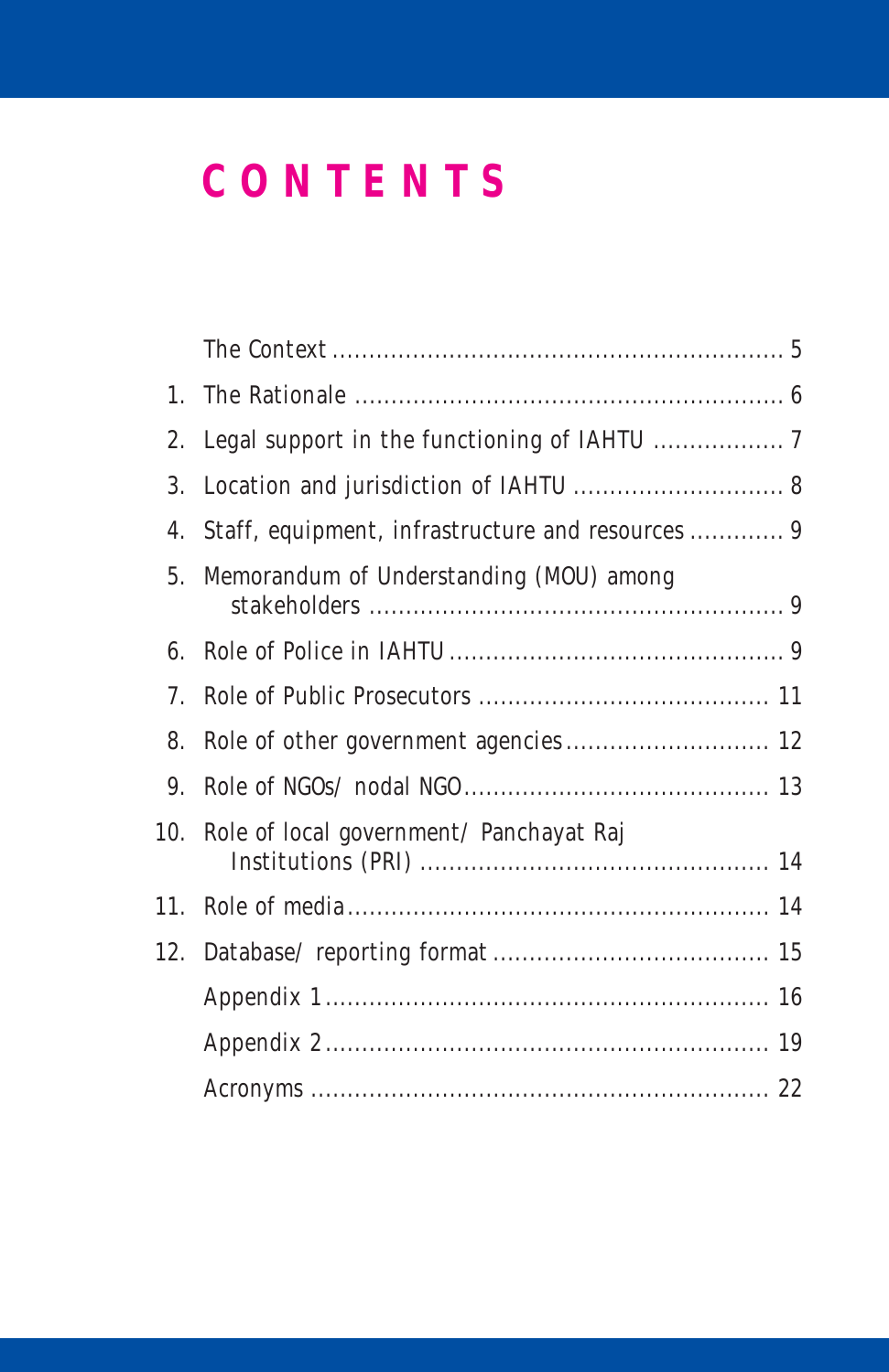## **CONTENTS**

|                | 2. Legal support in the functioning of IAHTU  7   |  |
|----------------|---------------------------------------------------|--|
|                |                                                   |  |
| 4.             | Staff, equipment, infrastructure and resources  9 |  |
| 5 <sub>1</sub> | Memorandum of Understanding (MOU) among           |  |
| 6.             |                                                   |  |
| 7.             |                                                   |  |
| 8.             |                                                   |  |
| 9.             |                                                   |  |
|                | 10. Role of local government/ Panchayat Raj       |  |
|                |                                                   |  |
|                |                                                   |  |
|                |                                                   |  |
|                |                                                   |  |
|                |                                                   |  |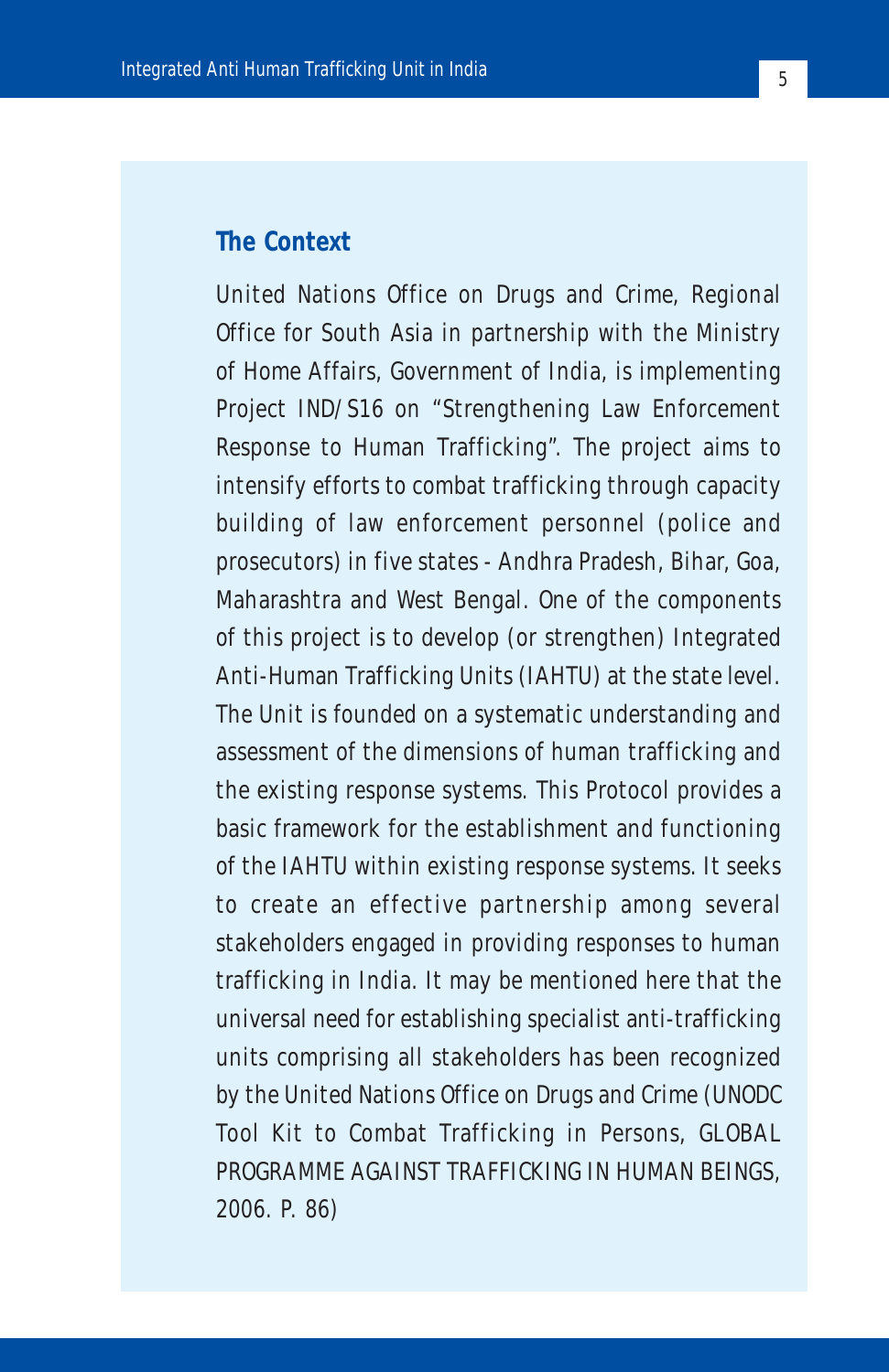#### **The Context**

United Nations Office on Drugs and Crime, Regional Office for South Asia in partnership with the Ministry of Home Affairs, Government of India, is implementing Project IND/S16 on "Strengthening Law Enforcement Response to Human Trafficking". The project aims to intensify efforts to combat trafficking through capacity building of law enforcement personnel (police and prosecutors) in five states - Andhra Pradesh, Bihar, Goa, Maharashtra and West Bengal. One of the components of this project is to develop (or strengthen) Integrated Anti-Human Trafficking Units (IAHTU) at the state level. The Unit is founded on a systematic understanding and assessment of the dimensions of human trafficking and the existing response systems. This Protocol provides a basic framework for the establishment and functioning of the IAHTU within existing response systems. It seeks to create an effective partnership among several stakeholders engaged in providing responses to human trafficking in India. It may be mentioned here that the universal need for establishing specialist anti-trafficking units comprising all stakeholders has been recognized by the United Nations Office on Drugs and Crime (UNODC Tool Kit to Combat Trafficking in Persons, GLOBAL PROGRAMME AGAINST TRAFFICKING IN HUMAN BEINGS, 2006. P. 86)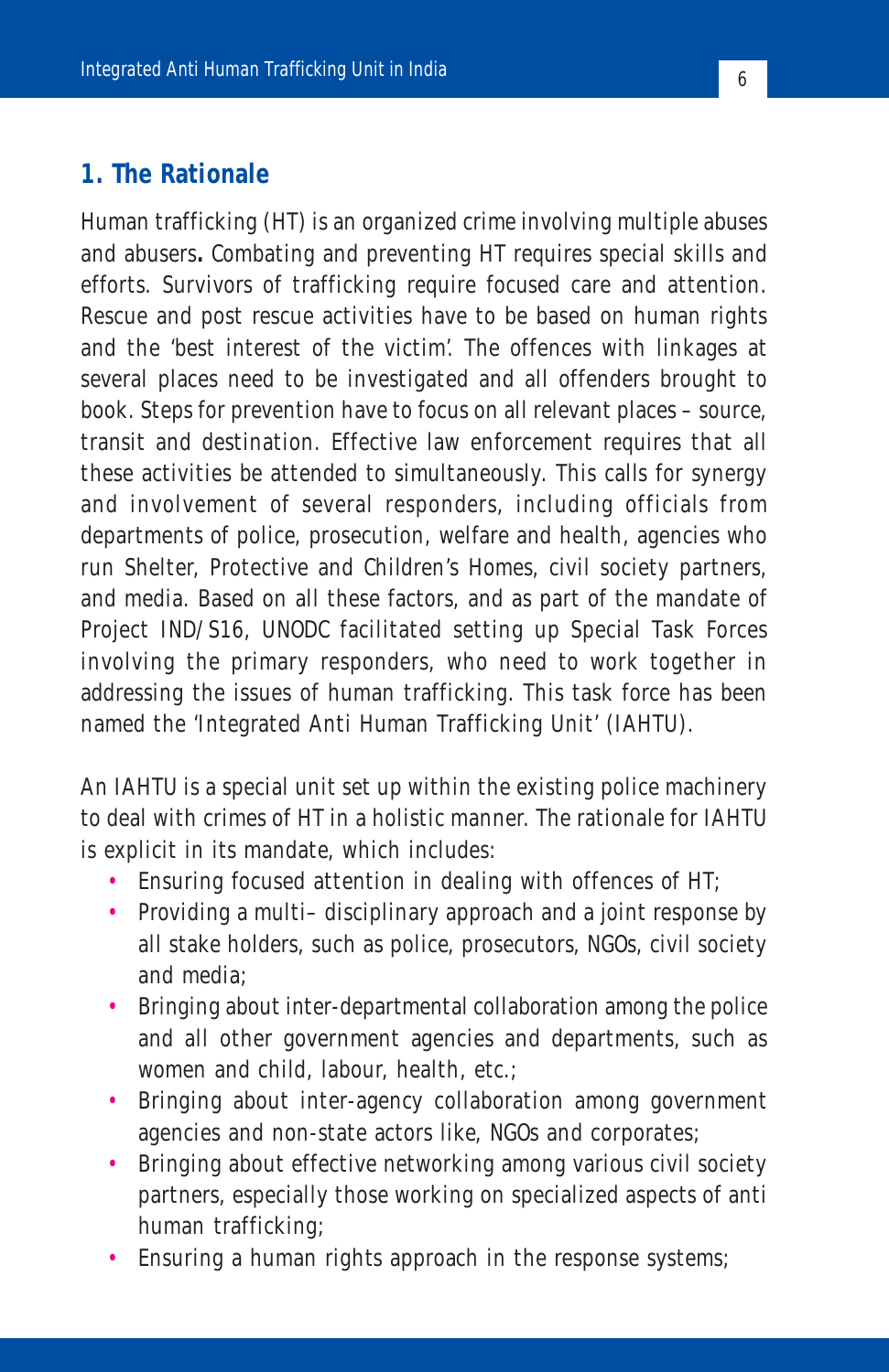#### **1. The Rationale**

Human trafficking (HT) is an organized crime involving multiple abuses and abusers**.** Combating and preventing HT requires special skills and efforts. Survivors of trafficking require focused care and attention. Rescue and post rescue activities have to be based on human rights and the 'best interest of the victim'. The offences with linkages at several places need to be investigated and all offenders brought to book. Steps for prevention have to focus on all relevant places – source, transit and destination. Effective law enforcement requires that all these activities be attended to simultaneously. This calls for synergy and involvement of several responders, including officials from departments of police, prosecution, welfare and health, agencies who run Shelter, Protective and Children's Homes, civil society partners, and media. Based on all these factors, and as part of the mandate of Project IND/S16, UNODC facilitated setting up Special Task Forces involving the primary responders, who need to work together in addressing the issues of human trafficking. This task force has been named the 'Integrated Anti Human Trafficking Unit' (IAHTU).

An IAHTU is a special unit set up within the existing police machinery to deal with crimes of HT in a holistic manner. The rationale for IAHTU is explicit in its mandate, which includes:

- Ensuring focused attention in dealing with offences of HT;
- Providing a multi– disciplinary approach and a joint response by all stake holders, such as police, prosecutors, NGOs, civil society and media;
- Bringing about inter-departmental collaboration among the police and all other government agencies and departments, such as women and child, labour, health, etc.;
- Bringing about inter-agency collaboration among government agencies and non-state actors like, NGOs and corporates;
- Bringing about effective networking among various civil society partners, especially those working on specialized aspects of anti human trafficking;
- Ensuring a human rights approach in the response systems;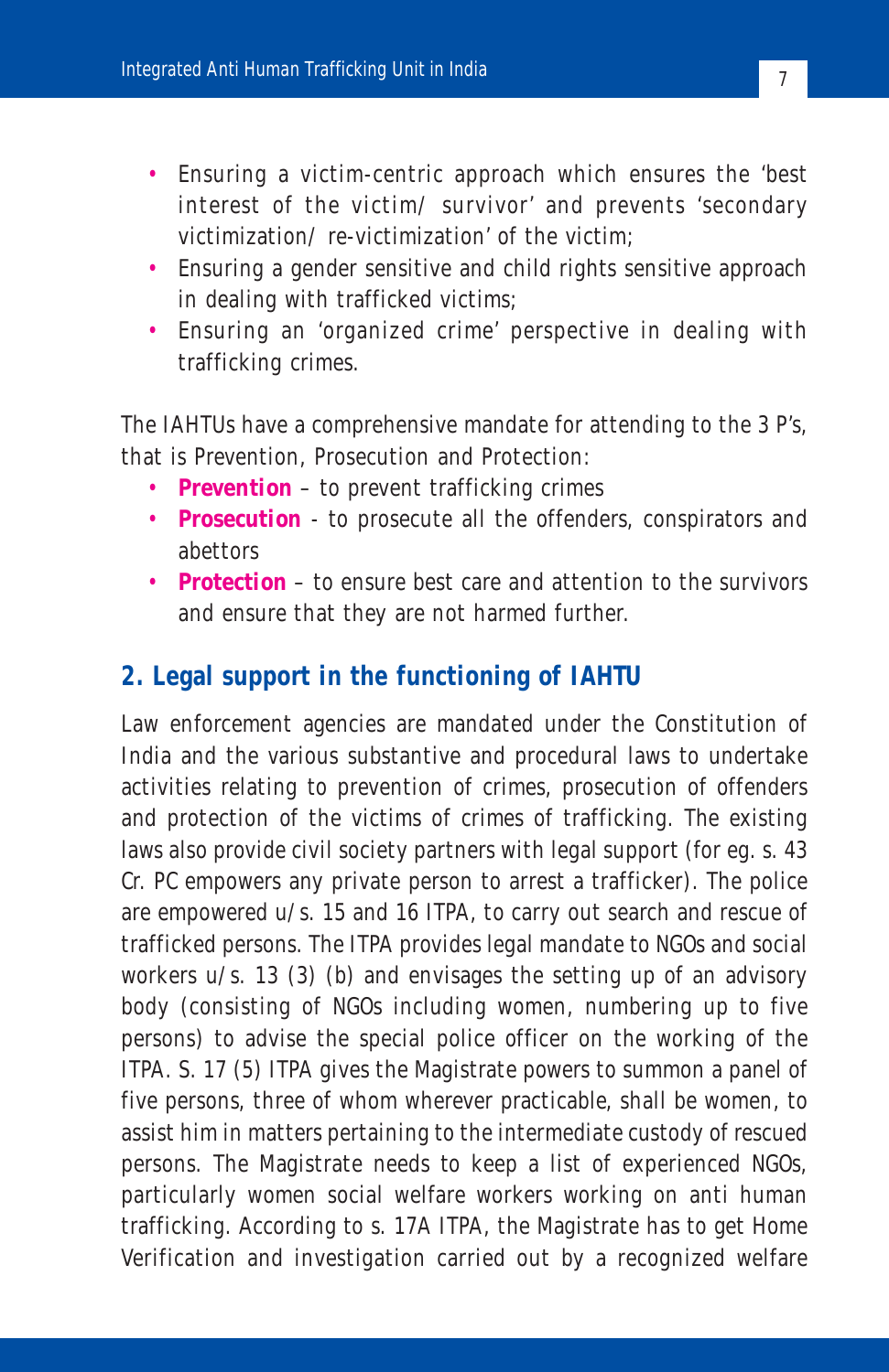- Ensuring a victim-centric approach which ensures the 'best interest of the victim/ survivor' and prevents 'secondary victimization/ re-victimization' of the victim;
- Ensuring a gender sensitive and child rights sensitive approach in dealing with trafficked victims;
- Ensuring an 'organized crime' perspective in dealing with trafficking crimes.

The IAHTUs have a comprehensive mandate for attending to the 3 P's, that is Prevention, Prosecution and Protection:

- **Prevention** to prevent trafficking crimes
- **Prosecution** to prosecute all the offenders, conspirators and abettors
- **Protection** to ensure best care and attention to the survivors and ensure that they are not harmed further.

#### **2. Legal support in the functioning of IAHTU**

Law enforcement agencies are mandated under the Constitution of India and the various substantive and procedural laws to undertake activities relating to prevention of crimes, prosecution of offenders and protection of the victims of crimes of trafficking. The existing laws also provide civil society partners with legal support (for eg. s. 43 Cr. PC empowers any private person to arrest a trafficker). The police are empowered u/s. 15 and 16 ITPA, to carry out search and rescue of trafficked persons. The ITPA provides legal mandate to NGOs and social workers u/s. 13 (3) (b) and envisages the setting up of an advisory body (consisting of NGOs including women, numbering up to five persons) to advise the special police officer on the working of the ITPA. S. 17 (5) ITPA gives the Magistrate powers to summon a panel of five persons, three of whom wherever practicable, shall be women, to assist him in matters pertaining to the intermediate custody of rescued persons. The Magistrate needs to keep a list of experienced NGOs, particularly women social welfare workers working on anti human trafficking. According to s. 17A ITPA, the Magistrate has to get Home Verification and investigation carried out by a recognized welfare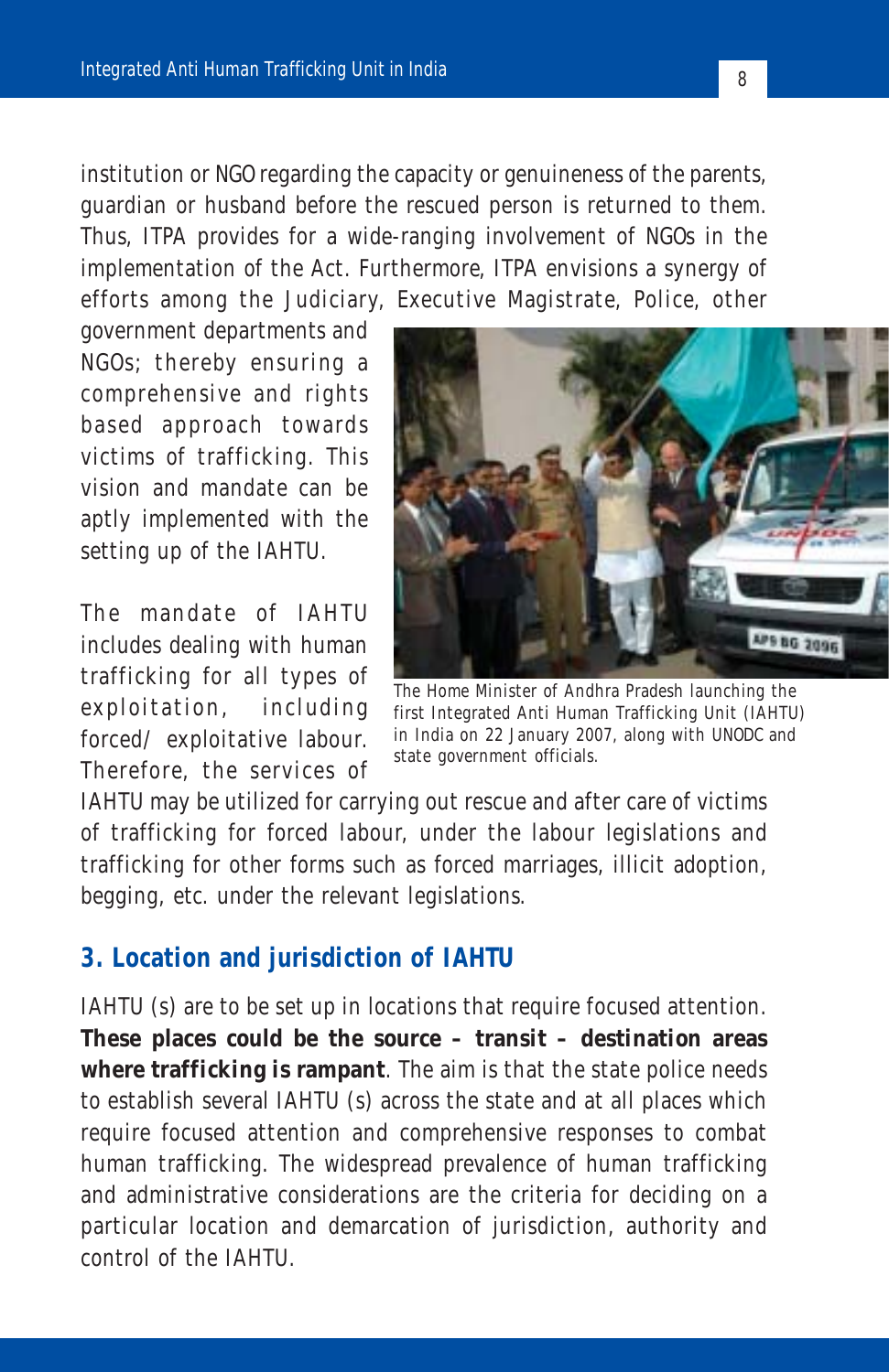institution or NGO regarding the capacity or genuineness of the parents, guardian or husband before the rescued person is returned to them. Thus, ITPA provides for a wide-ranging involvement of NGOs in the implementation of the Act. Furthermore, ITPA envisions a synergy of efforts among the Judiciary, Executive Magistrate, Police, other

government departments and NGOs; thereby ensuring a comprehensive and rights based approach towards victims of trafficking. This vision and mandate can be aptly implemented with the setting up of the IAHTU.

The mandate of IAHTU includes dealing with human trafficking for all types of exploitation, including forced/ exploitative labour. Therefore, the services of



The Home Minister of Andhra Pradesh launching the first Integrated Anti Human Trafficking Unit (IAHTU) in India on 22 January 2007, along with UNODC and state government officials.

IAHTU may be utilized for carrying out rescue and after care of victims of trafficking for forced labour, under the labour legislations and trafficking for other forms such as forced marriages, illicit adoption, begging, etc. under the relevant legislations.

#### **3. Location and jurisdiction of IAHTU**

IAHTU (s) are to be set up in locations that require focused attention. **These places could be the source – transit – destination areas where trafficking is rampant**. The aim is that the state police needs to establish several IAHTU (s) across the state and at all places which require focused attention and comprehensive responses to combat human trafficking. The widespread prevalence of human trafficking and administrative considerations are the criteria for deciding on a particular location and demarcation of jurisdiction, authority and control of the IAHTU.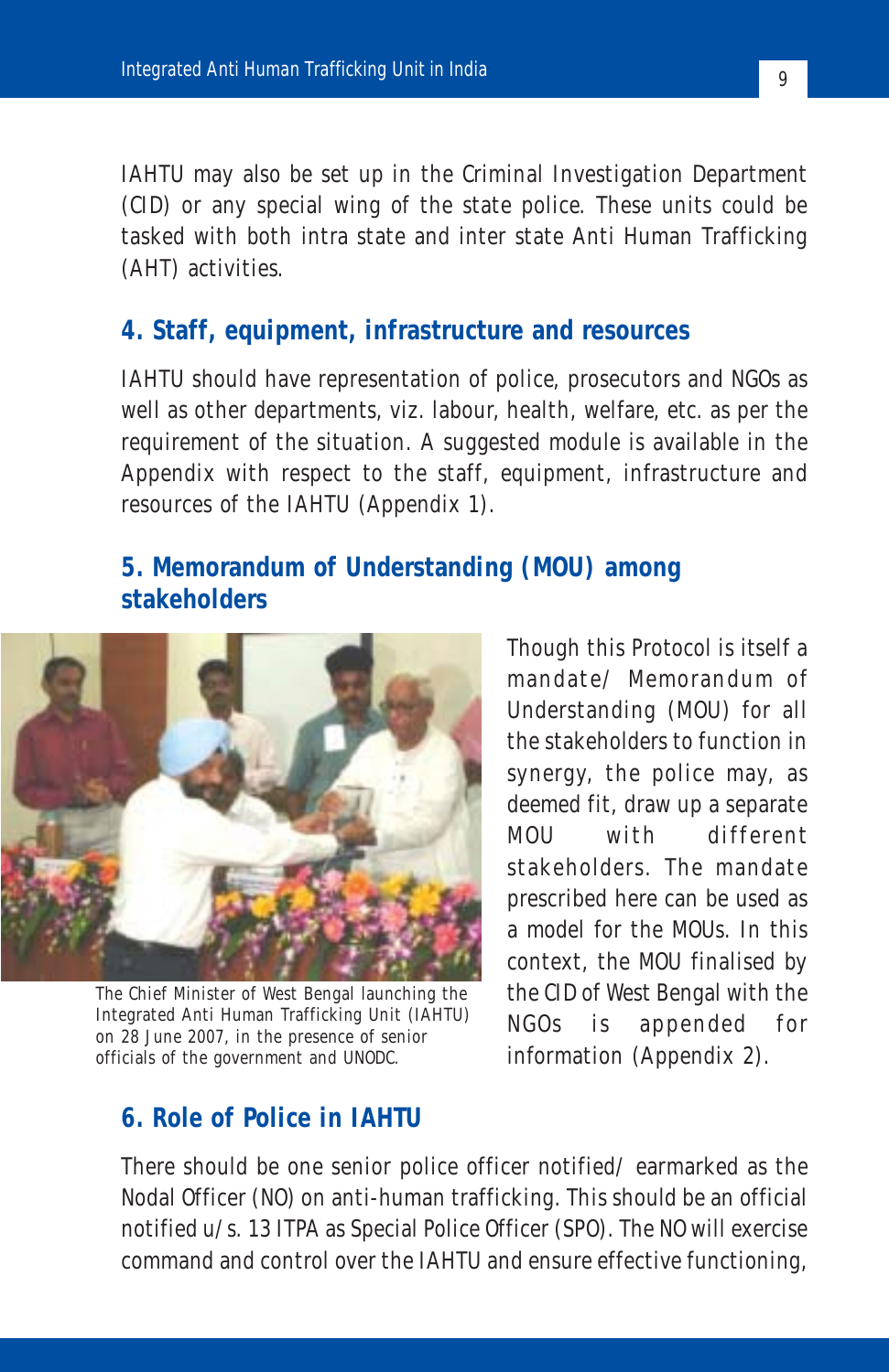IAHTU may also be set up in the Criminal Investigation Department (CID) or any special wing of the state police. These units could be tasked with both intra state and inter state Anti Human Trafficking (AHT) activities.

#### **4. Staff, equipment, infrastructure and resources**

IAHTU should have representation of police, prosecutors and NGOs as well as other departments, viz. labour, health, welfare, etc. as per the requirement of the situation. A suggested module is available in the Appendix with respect to the staff, equipment, infrastructure and resources of the IAHTU (Appendix 1).

#### **5. Memorandum of Understanding (MOU) among stakeholders**



The Chief Minister of West Bengal launching the Integrated Anti Human Trafficking Unit (IAHTU) on 28 June 2007, in the presence of senior officials of the government and UNODC.

Though this Protocol is itself a mandate/ Memorandum of Understanding (MOU) for all the stakeholders to function in synergy, the police may, as deemed fit, draw up a separate MOU with different stakeholders. The mandate prescribed here can be used as a model for the MOUs. In this context, the MOU finalised by the CID of West Bengal with the NGOs is appended for information (Appendix 2).

#### **6. Role of Police in IAHTU**

There should be one senior police officer notified/ earmarked as the Nodal Officer (NO) on anti-human trafficking. This should be an official notified u/s. 13 ITPA as Special Police Officer (SPO). The NO will exercise command and control over the IAHTU and ensure effective functioning,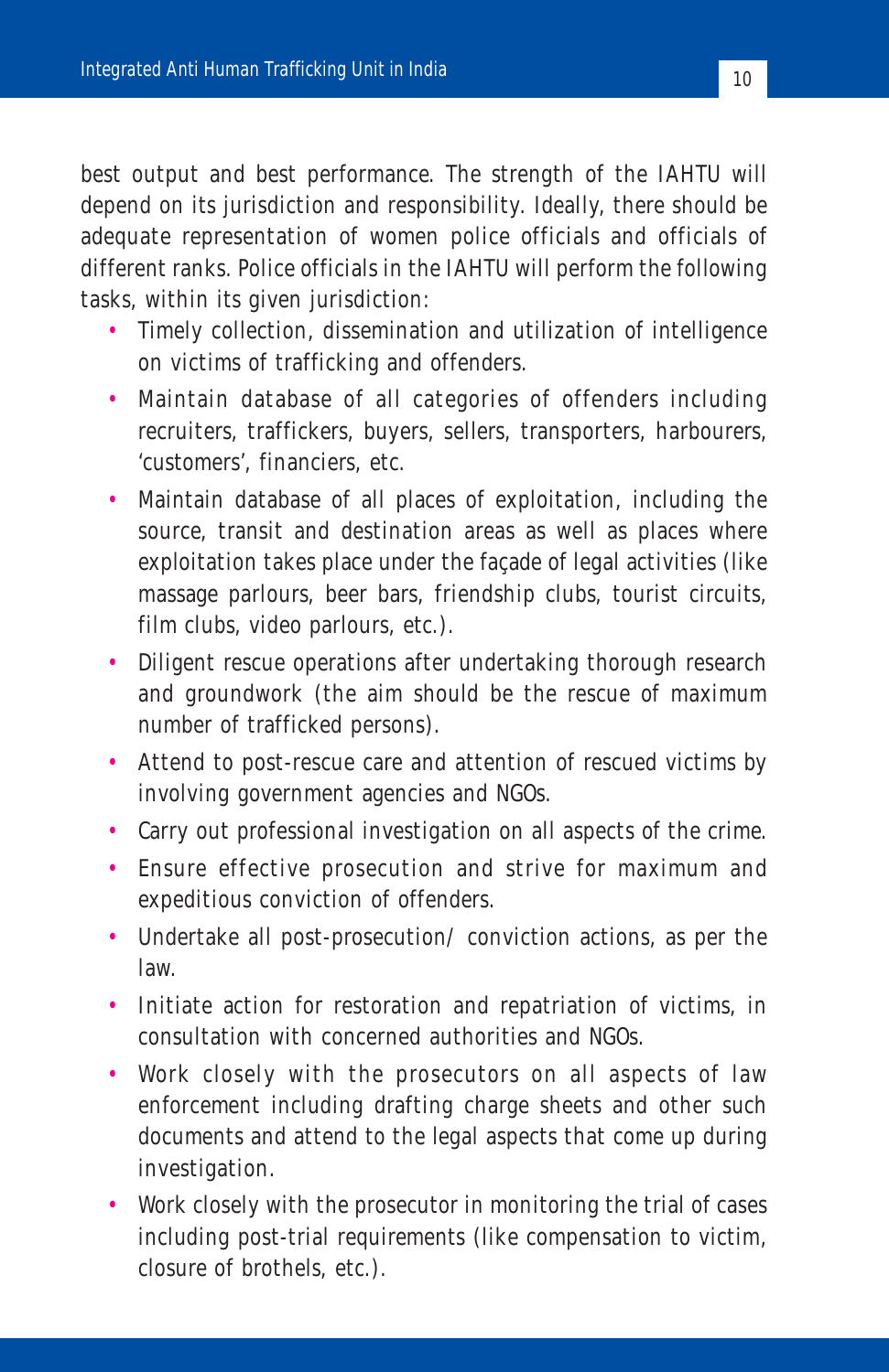best output and best performance. The strength of the IAHTU will depend on its jurisdiction and responsibility. Ideally, there should be adequate representation of women police officials and officials of different ranks. Police officials in the IAHTU will perform the following tasks, within its given jurisdiction:

- Timely collection, dissemination and utilization of intelligence on victims of trafficking and offenders.
- Maintain database of all categories of offenders including recruiters, traffickers, buyers, sellers, transporters, harbourers, 'customers', financiers, etc.
- Maintain database of all places of exploitation, including the source, transit and destination areas as well as places where exploitation takes place under the façade of legal activities (like massage parlours, beer bars, friendship clubs, tourist circuits, film clubs, video parlours, etc.).
- Diligent rescue operations after undertaking thorough research and groundwork (the aim should be the rescue of maximum number of trafficked persons).
- Attend to post-rescue care and attention of rescued victims by involving government agencies and NGOs.
- Carry out professional investigation on all aspects of the crime.
- Ensure effective prosecution and strive for maximum and expeditious conviction of offenders.
- Undertake all post-prosecution/ conviction actions, as per the law.
- Initiate action for restoration and repatriation of victims, in consultation with concerned authorities and NGOs.
- Work closely with the prosecutors on all aspects of law enforcement including drafting charge sheets and other such documents and attend to the legal aspects that come up during investigation.
- Work closely with the prosecutor in monitoring the trial of cases including post-trial requirements (like compensation to victim, closure of brothels, etc.).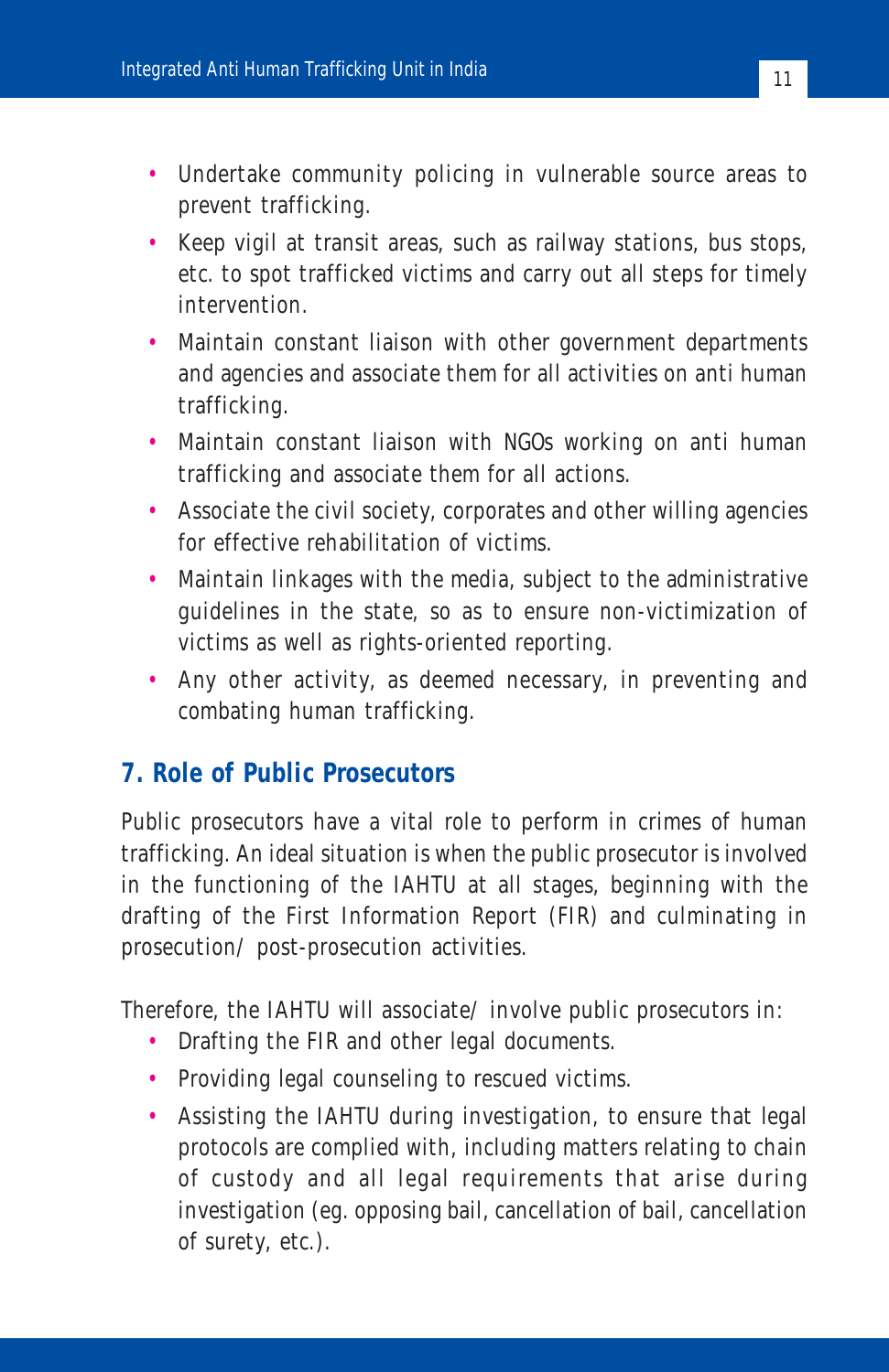- Undertake community policing in vulnerable source areas to prevent trafficking.
- Keep vigil at transit areas, such as railway stations, bus stops, etc. to spot trafficked victims and carry out all steps for timely intervention.
- Maintain constant liaison with other government departments and agencies and associate them for all activities on anti human trafficking.
- Maintain constant liaison with NGOs working on anti human trafficking and associate them for all actions.
- Associate the civil society, corporates and other willing agencies for effective rehabilitation of victims.
- Maintain linkages with the media, subject to the administrative guidelines in the state, so as to ensure non-victimization of victims as well as rights-oriented reporting.
- Any other activity, as deemed necessary, in preventing and combating human trafficking.

#### **7. Role of Public Prosecutors**

Public prosecutors have a vital role to perform in crimes of human trafficking. An ideal situation is when the public prosecutor is involved in the functioning of the IAHTU at all stages, beginning with the drafting of the First Information Report (FIR) and culminating in prosecution/ post-prosecution activities.

Therefore, the IAHTU will associate/ involve public prosecutors in:

- Drafting the FIR and other legal documents.
- Providing legal counseling to rescued victims.
- Assisting the IAHTU during investigation, to ensure that legal protocols are complied with, including matters relating to chain of custody and all legal requirements that arise during investigation (eg. opposing bail, cancellation of bail, cancellation of surety, etc.).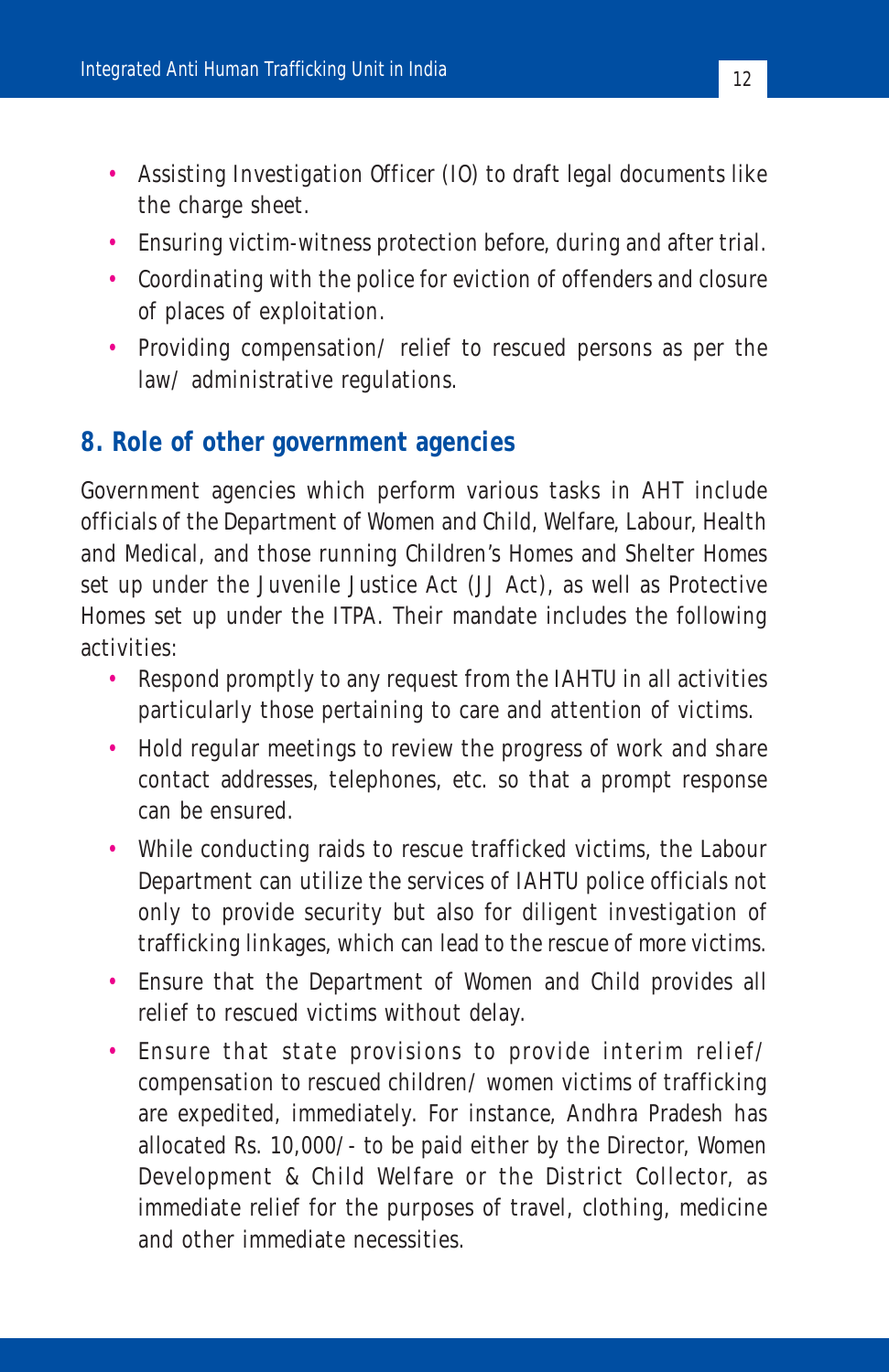- Assisting Investigation Officer (IO) to draft legal documents like the charge sheet.
- Ensuring victim-witness protection before, during and after trial.
- Coordinating with the police for eviction of offenders and closure of places of exploitation.
- Providing compensation/ relief to rescued persons as per the law/ administrative regulations.

#### **8. Role of other government agencies**

Government agencies which perform various tasks in AHT include officials of the Department of Women and Child, Welfare, Labour, Health and Medical, and those running Children's Homes and Shelter Homes set up under the Juvenile Justice Act (JJ Act), as well as Protective Homes set up under the ITPA. Their mandate includes the following activities:

- Respond promptly to any request from the IAHTU in all activities particularly those pertaining to care and attention of victims.
- Hold regular meetings to review the progress of work and share contact addresses, telephones, etc. so that a prompt response can be ensured.
- While conducting raids to rescue trafficked victims, the Labour Department can utilize the services of IAHTU police officials not only to provide security but also for diligent investigation of trafficking linkages, which can lead to the rescue of more victims.
- Ensure that the Department of Women and Child provides all relief to rescued victims without delay.
- Ensure that state provisions to provide interim relief/ compensation to rescued children/ women victims of trafficking are expedited, immediately. For instance, Andhra Pradesh has allocated Rs. 10,000/- to be paid either by the Director, Women Development & Child Welfare or the District Collector, as immediate relief for the purposes of travel, clothing, medicine and other immediate necessities.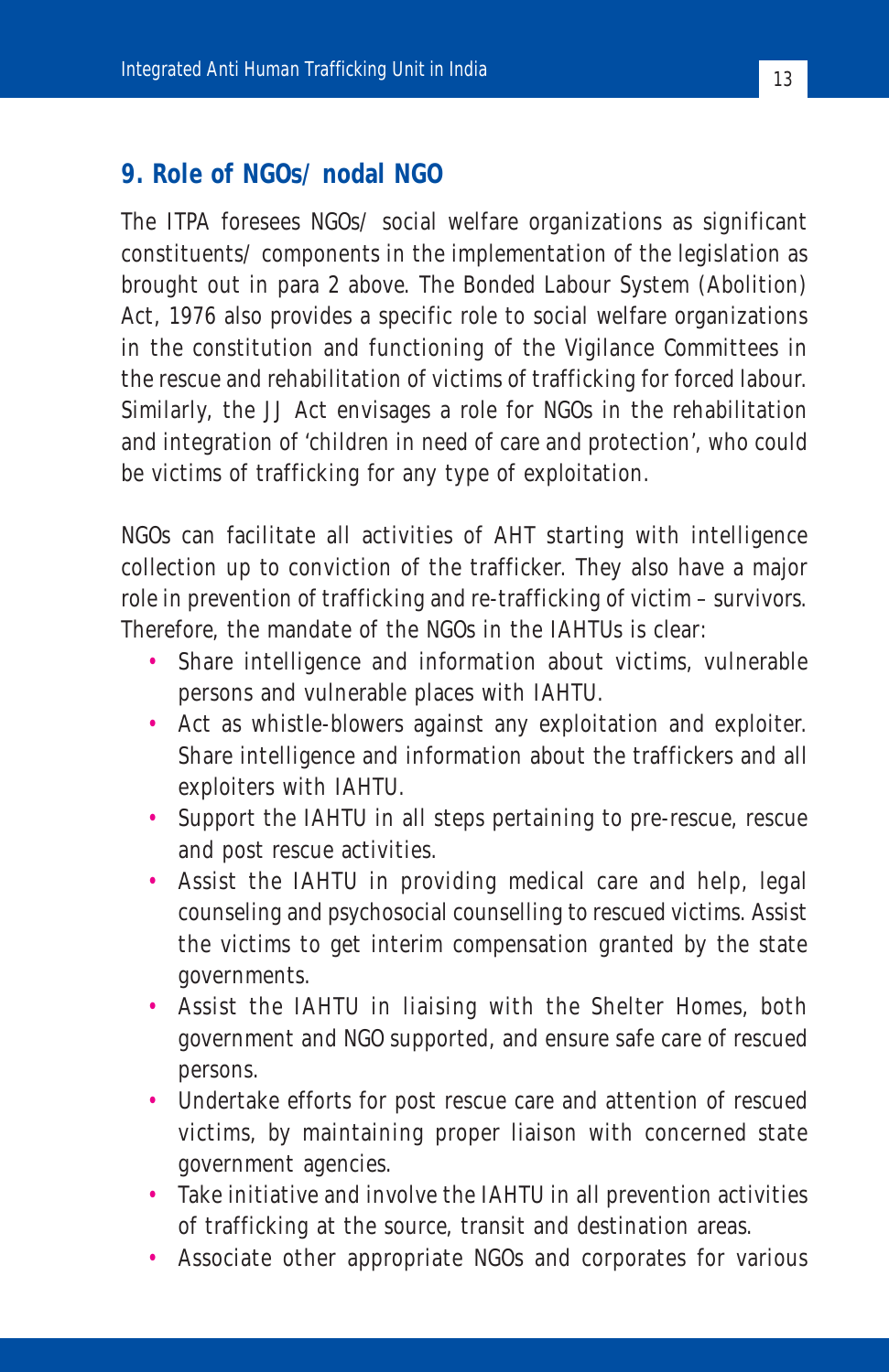#### **9. Role of NGOs/ nodal NGO**

The ITPA foresees NGOs/ social welfare organizations as significant constituents/ components in the implementation of the legislation as brought out in para 2 above. The Bonded Labour System (Abolition) Act, 1976 also provides a specific role to social welfare organizations in the constitution and functioning of the Vigilance Committees in the rescue and rehabilitation of victims of trafficking for forced labour. Similarly, the JJ Act envisages a role for NGOs in the rehabilitation and integration of 'children in need of care and protection', who could be victims of trafficking for any type of exploitation.

NGOs can facilitate all activities of AHT starting with intelligence collection up to conviction of the trafficker. They also have a major role in prevention of trafficking and re-trafficking of victim – survivors. Therefore, the mandate of the NGOs in the IAHTUs is clear:

- Share intelligence and information about victims, vulnerable persons and vulnerable places with IAHTU.
- Act as whistle-blowers against any exploitation and exploiter. Share intelligence and information about the traffickers and all exploiters with IAHTU.
- Support the IAHTU in all steps pertaining to pre-rescue, rescue and post rescue activities.
- Assist the IAHTU in providing medical care and help, legal counseling and psychosocial counselling to rescued victims. Assist the victims to get interim compensation granted by the state governments.
- Assist the IAHTU in liaising with the Shelter Homes, both government and NGO supported, and ensure safe care of rescued persons.
- Undertake efforts for post rescue care and attention of rescued victims, by maintaining proper liaison with concerned state government agencies.
- Take initiative and involve the IAHTU in all prevention activities of trafficking at the source, transit and destination areas.
- Associate other appropriate NGOs and corporates for various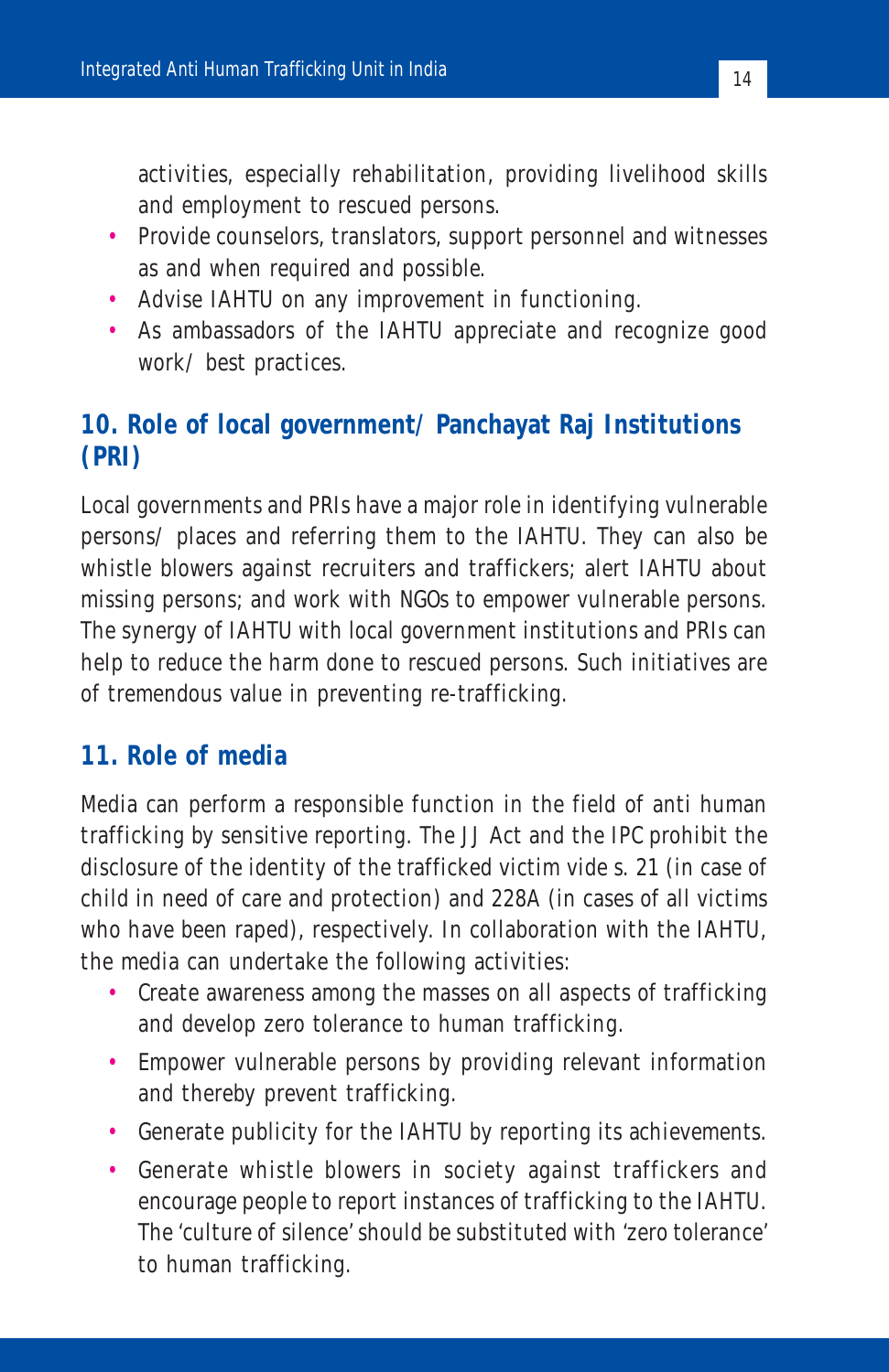activities, especially rehabilitation, providing livelihood skills and employment to rescued persons.

- Provide counselors, translators, support personnel and witnesses as and when required and possible.
- Advise IAHTU on any improvement in functioning.
- As ambassadors of the IAHTU appreciate and recognize good work/ best practices.

#### **10. Role of local government/ Panchayat Raj Institutions (PRI)**

Local governments and PRIs have a major role in identifying vulnerable persons/ places and referring them to the IAHTU. They can also be whistle blowers against recruiters and traffickers; alert IAHTU about missing persons; and work with NGOs to empower vulnerable persons. The synergy of IAHTU with local government institutions and PRIs can help to reduce the harm done to rescued persons. Such initiatives are of tremendous value in preventing re-trafficking.

#### **11. Role of media**

Media can perform a responsible function in the field of anti human trafficking by sensitive reporting. The JJ Act and the IPC prohibit the disclosure of the identity of the trafficked victim vide s. 21 (in case of child in need of care and protection) and 228A (in cases of all victims who have been raped), respectively. In collaboration with the IAHTU, the media can undertake the following activities:

- Create awareness among the masses on all aspects of trafficking and develop zero tolerance to human trafficking.
- Empower vulnerable persons by providing relevant information and thereby prevent trafficking.
- Generate publicity for the IAHTU by reporting its achievements.
- Generate whistle blowers in society against traffickers and encourage people to report instances of trafficking to the IAHTU. The 'culture of silence' should be substituted with 'zero tolerance' to human trafficking.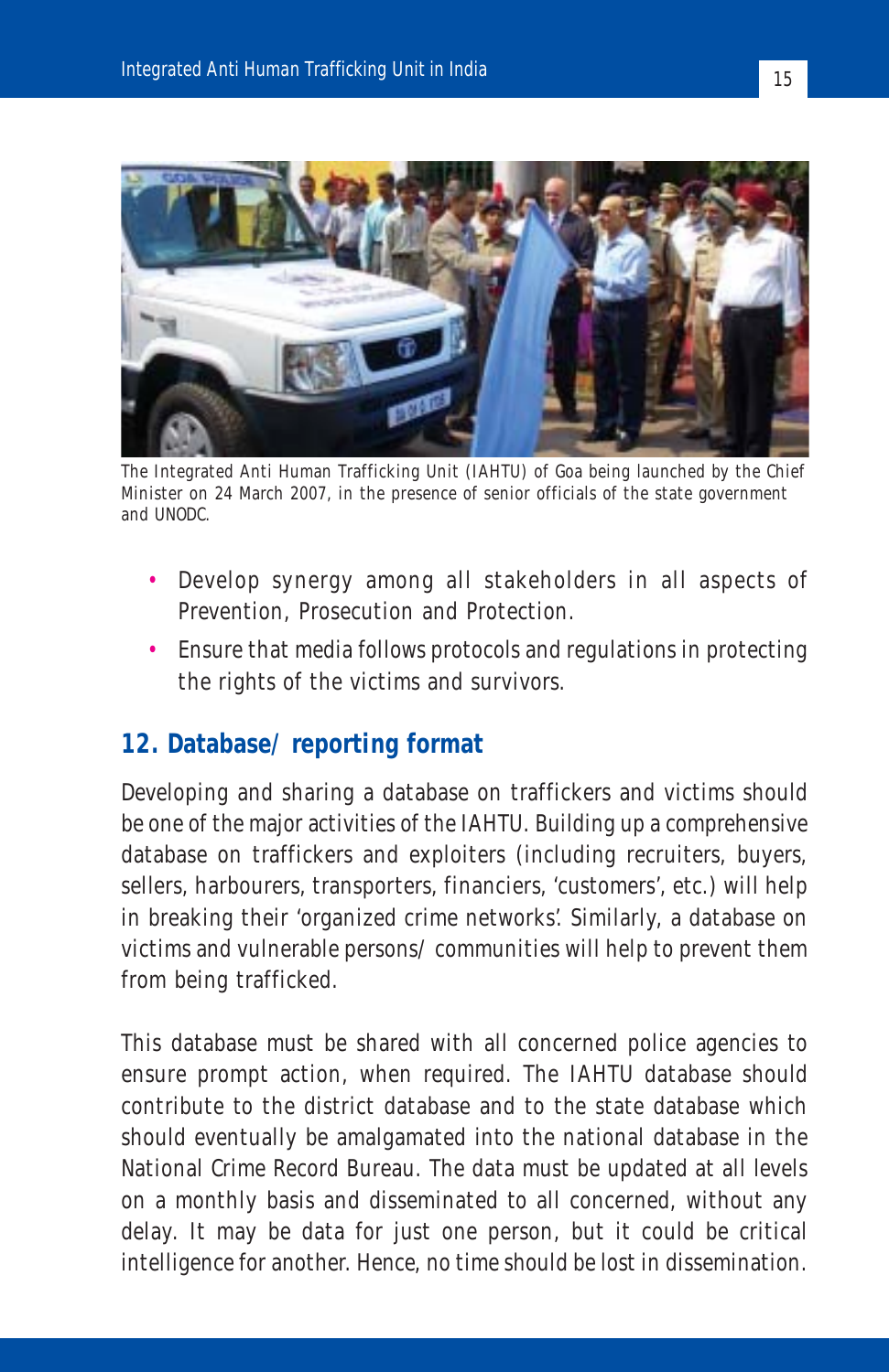

The Integrated Anti Human Trafficking Unit (IAHTU) of Goa being launched by the Chief Minister on 24 March 2007, in the presence of senior officials of the state government and UNODC.

- Develop synergy among all stakeholders in all aspects of Prevention, Prosecution and Protection.
- Ensure that media follows protocols and regulations in protecting the rights of the victims and survivors.

#### **12. Database/ reporting format**

Developing and sharing a database on traffickers and victims should be one of the major activities of the IAHTU. Building up a comprehensive database on traffickers and exploiters (including recruiters, buyers, sellers, harbourers, transporters, financiers, 'customers', etc.) will help in breaking their 'organized crime networks'. Similarly, a database on victims and vulnerable persons/ communities will help to prevent them from being trafficked.

This database must be shared with all concerned police agencies to ensure prompt action, when required. The IAHTU database should contribute to the district database and to the state database which should eventually be amalgamated into the national database in the National Crime Record Bureau. The data must be updated at all levels on a monthly basis and disseminated to all concerned, without any delay. It may be data for just one person, but it could be critical intelligence for another. Hence, no time should be lost in dissemination.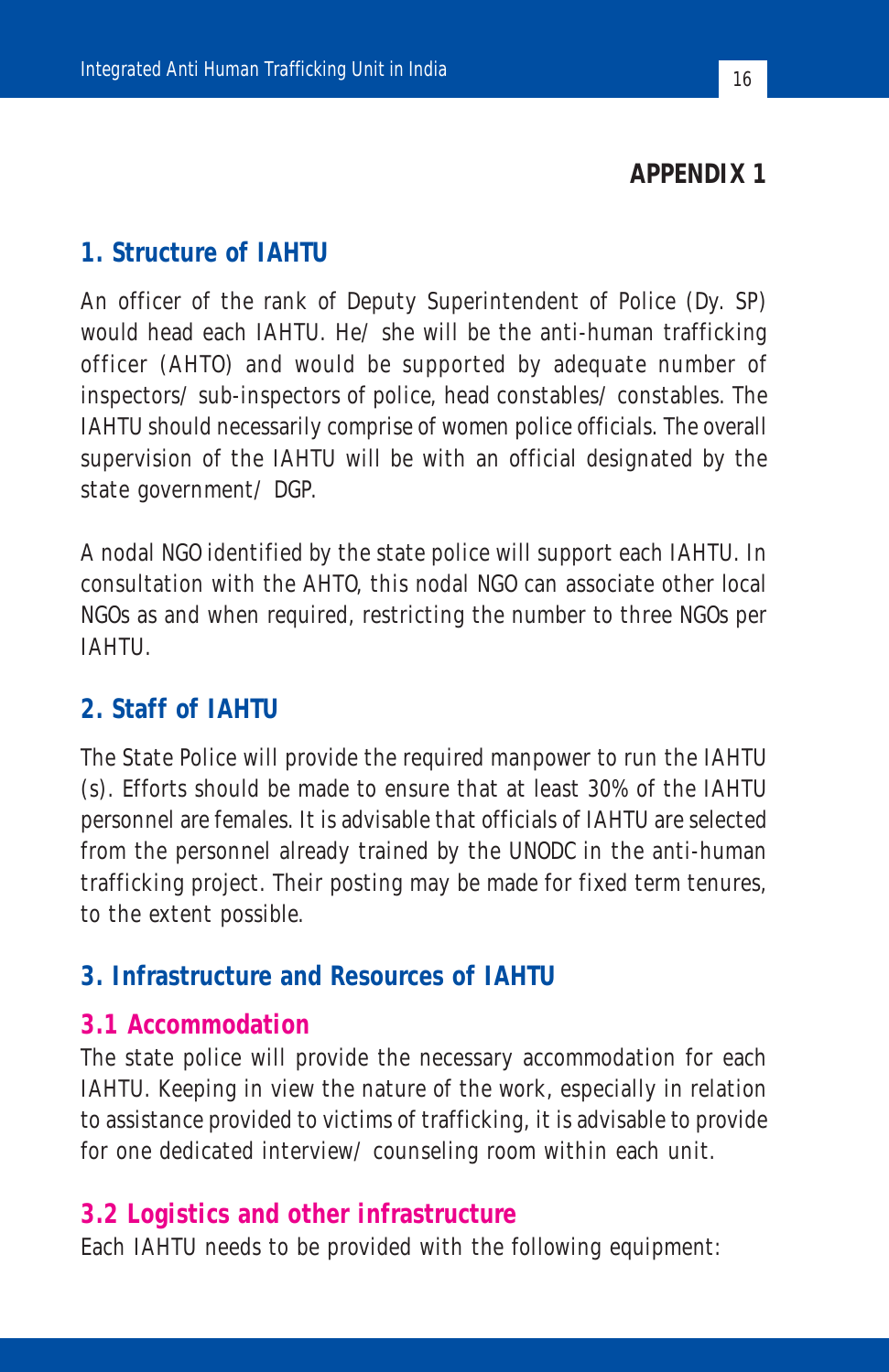#### **APPENDIX 1**

#### **1. Structure of IAHTU**

An officer of the rank of Deputy Superintendent of Police (Dy. SP) would head each IAHTU. He/ she will be the anti-human trafficking officer (AHTO) and would be supported by adequate number of inspectors/ sub-inspectors of police, head constables/ constables. The IAHTU should necessarily comprise of women police officials. The overall supervision of the IAHTU will be with an official designated by the state government/ DGP.

A nodal NGO identified by the state police will support each IAHTU. In consultation with the AHTO, this nodal NGO can associate other local NGOs as and when required, restricting the number to three NGOs per IAHTU.

#### **2. Staff of IAHTU**

The State Police will provide the required manpower to run the IAHTU (s). Efforts should be made to ensure that at least 30% of the IAHTU personnel are females. It is advisable that officials of IAHTU are selected from the personnel already trained by the UNODC in the anti-human trafficking project. Their posting may be made for fixed term tenures, to the extent possible.

#### **3. Infrastructure and Resources of IAHTU**

#### **3.1 Accommodation**

The state police will provide the necessary accommodation for each IAHTU. Keeping in view the nature of the work, especially in relation to assistance provided to victims of trafficking, it is advisable to provide for one dedicated interview/ counseling room within each unit.

#### **3.2 Logistics and other infrastructure**

Each IAHTU needs to be provided with the following equipment: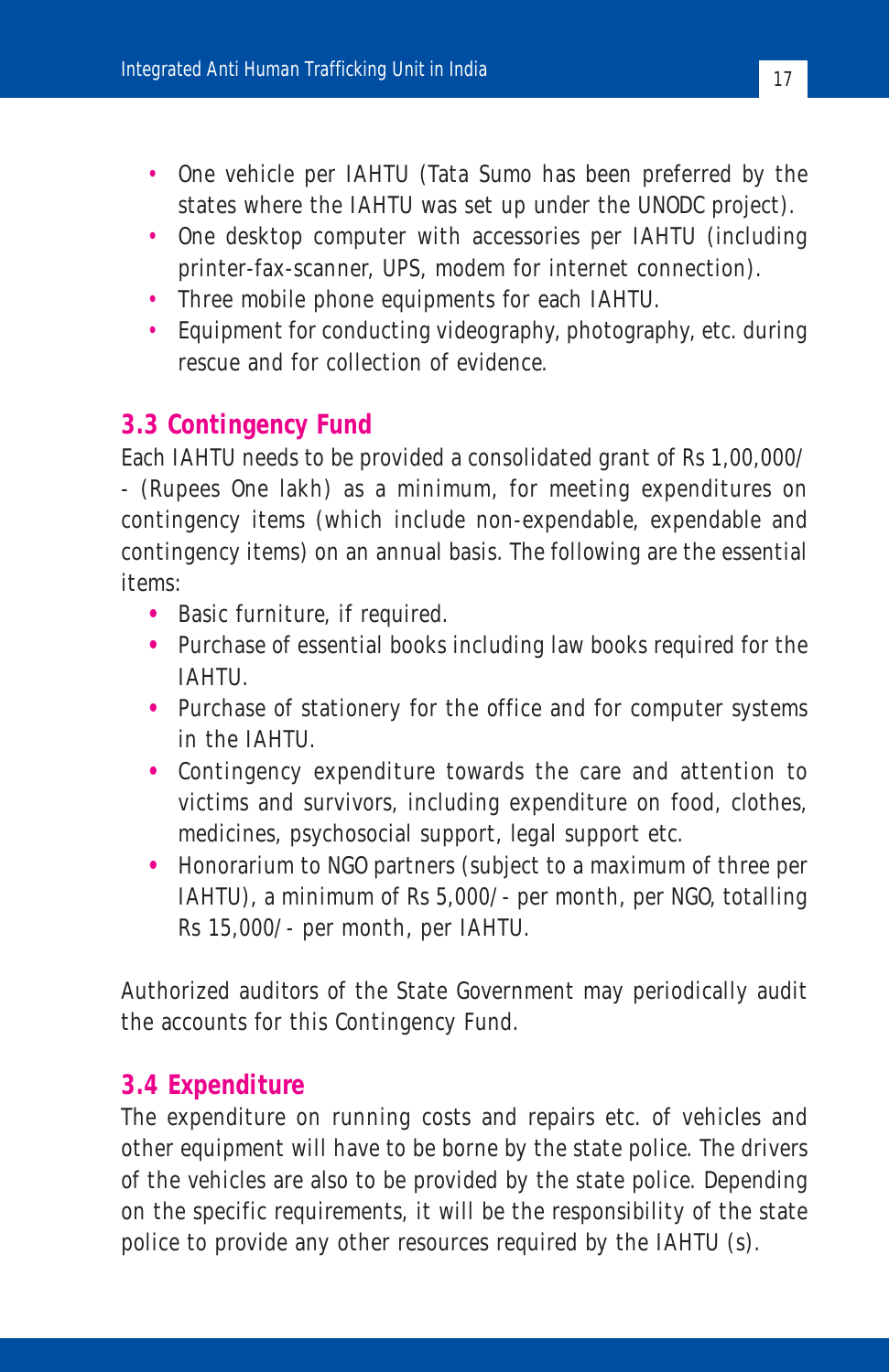- One vehicle per IAHTU (Tata Sumo has been preferred by the states where the IAHTU was set up under the UNODC project).
- One desktop computer with accessories per IAHTU (including printer-fax-scanner, UPS, modem for internet connection).
- Three mobile phone equipments for each IAHTU.
- Equipment for conducting videography, photography, etc. during rescue and for collection of evidence.

#### **3.3 Contingency Fund**

Each IAHTU needs to be provided a consolidated grant of Rs 1,00,000/ - (Rupees One lakh) as a minimum, for meeting expenditures on contingency items (which include non-expendable, expendable and contingency items) on an annual basis. The following are the essential items:

- **•** Basic furniture, if required.
- **•** Purchase of essential books including law books required for the IAHTU.
- **•** Purchase of stationery for the office and for computer systems in the IAHTU.
- **•** Contingency expenditure towards the care and attention to victims and survivors, including expenditure on food, clothes, medicines, psychosocial support, legal support etc.
- **•** Honorarium to NGO partners (subject to a maximum of three per IAHTU), a minimum of Rs 5,000/- per month, per NGO, totalling Rs 15,000/- per month, per IAHTU.

Authorized auditors of the State Government may periodically audit the accounts for this Contingency Fund.

#### **3.4 Expenditure**

The expenditure on running costs and repairs etc. of vehicles and other equipment will have to be borne by the state police. The drivers of the vehicles are also to be provided by the state police. Depending on the specific requirements, it will be the responsibility of the state police to provide any other resources required by the IAHTU (s).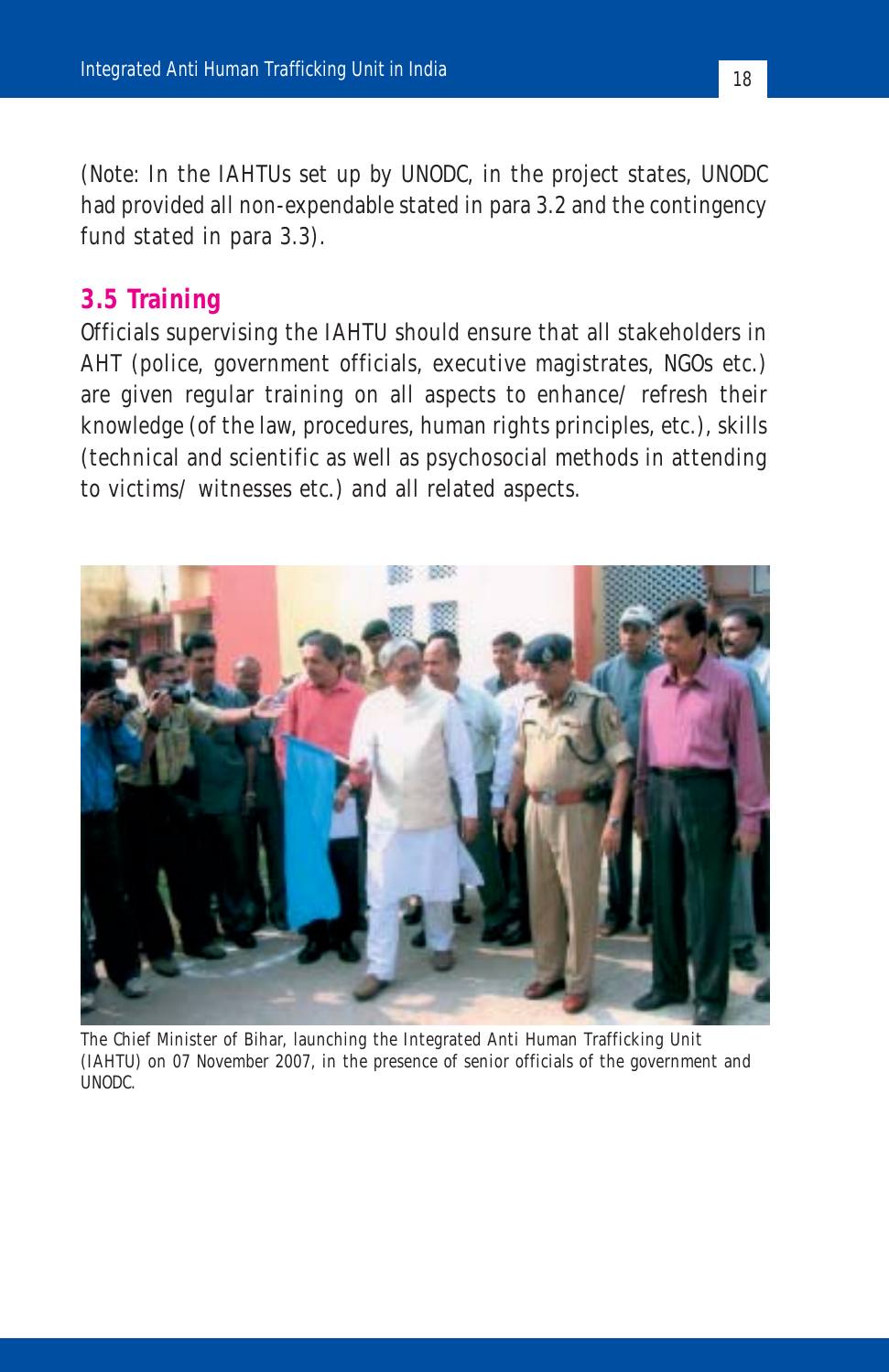(*Note:* In the IAHTUs set up by UNODC, in the project states, UNODC had provided all non-expendable stated in para 3.2 and the contingency fund stated in para 3.3).

#### **3.5 Training**

Officials supervising the IAHTU should ensure that all stakeholders in AHT (police, government officials, executive magistrates, NGOs etc.) are given regular training on all aspects to enhance/ refresh their knowledge (of the law, procedures, human rights principles, etc.), skills (technical and scientific as well as psychosocial methods in attending to victims/ witnesses etc.) and all related aspects.



The Chief Minister of Bihar, launching the Integrated Anti Human Trafficking Unit (IAHTU) on 07 November 2007, in the presence of senior officials of the government and UNODC.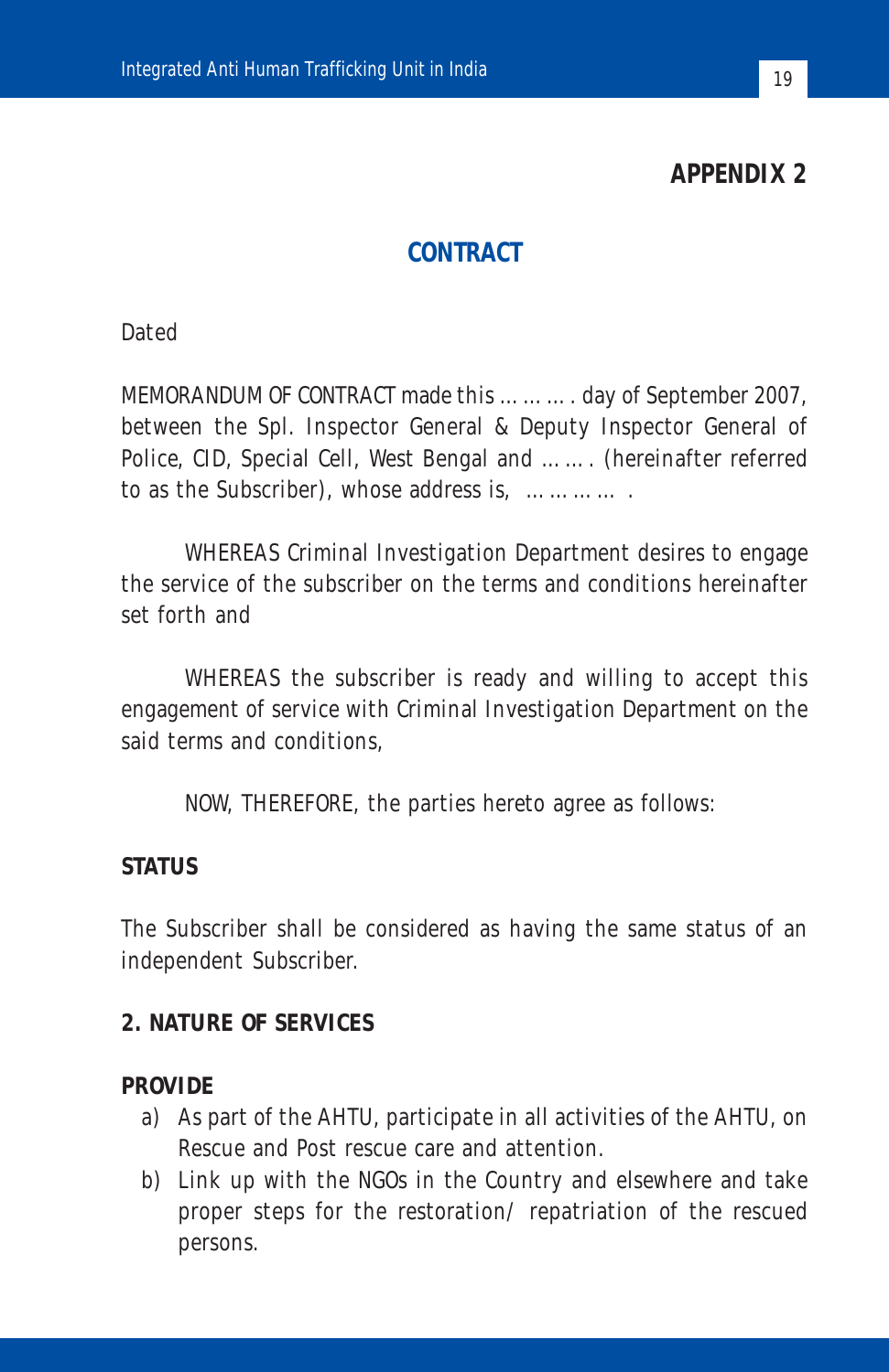**APPENDIX 2**

#### **CONTRACT**

**Dated** 

MEMORANDUM OF CONTRACT made this ………. day of September 2007, between the Spl. Inspector General & Deputy Inspector General of Police, CID, Special Cell, West Bengal and ……. (hereinafter referred to as the Subscriber), whose address is, ………… .

WHEREAS Criminal Investigation Department desires to engage the service of the subscriber on the terms and conditions hereinafter set forth and

WHEREAS the subscriber is ready and willing to accept this engagement of service with Criminal Investigation Department on the said terms and conditions,

NOW, THEREFORE, the parties hereto agree as follows:

#### **STATUS**

The Subscriber shall be considered as having the same status of an independent Subscriber.

#### **2. NATURE OF SERVICES**

#### **PROVIDE**

- a) As part of the AHTU, participate in all activities of the AHTU, on Rescue and Post rescue care and attention.
- b) Link up with the NGOs in the Country and elsewhere and take proper steps for the restoration/ repatriation of the rescued persons.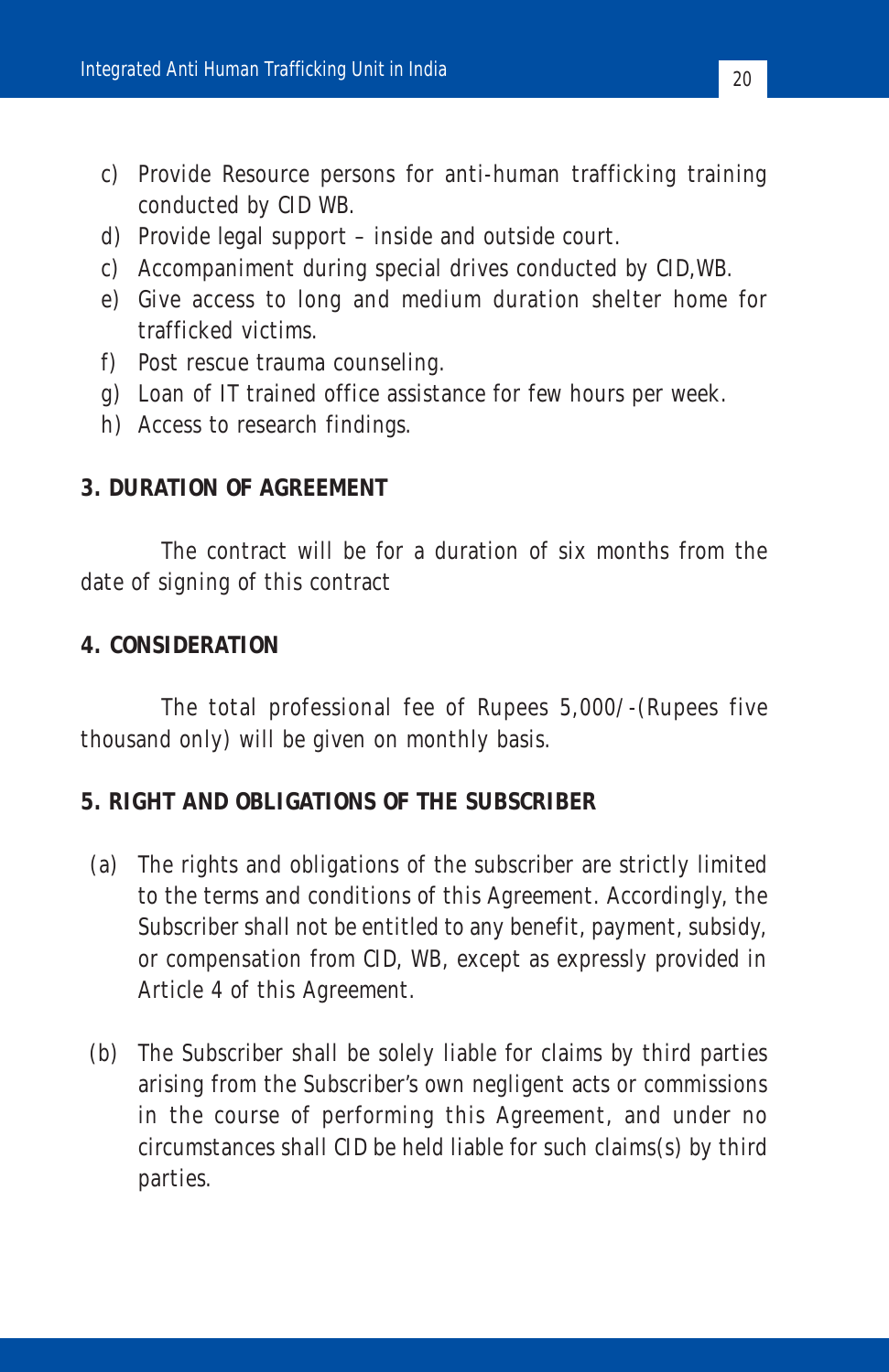- c) Provide Resource persons for anti-human trafficking training conducted by CID WB.
- d) Provide legal support inside and outside court.
- c) Accompaniment during special drives conducted by CID,WB.
- e) Give access to long and medium duration shelter home for trafficked victims.
- f) Post rescue trauma counseling.
- g) Loan of IT trained office assistance for few hours per week.
- h) Access to research findings.

#### **3. DURATION OF AGREEMENT**

The contract will be for a duration of six months from the date of signing of this contract

#### **4. CONSIDERATION**

The total professional fee of Rupees 5,000/-(Rupees five thousand only) will be given on monthly basis.

#### **5. RIGHT AND OBLIGATIONS OF THE SUBSCRIBER**

- (a) The rights and obligations of the subscriber are strictly limited to the terms and conditions of this Agreement. Accordingly, the Subscriber shall not be entitled to any benefit, payment, subsidy, or compensation from CID, WB, except as expressly provided in Article 4 of this Agreement.
- (b) The Subscriber shall be solely liable for claims by third parties arising from the Subscriber's own negligent acts or commissions in the course of performing this Agreement, and under no circumstances shall CID be held liable for such claims(s) by third parties.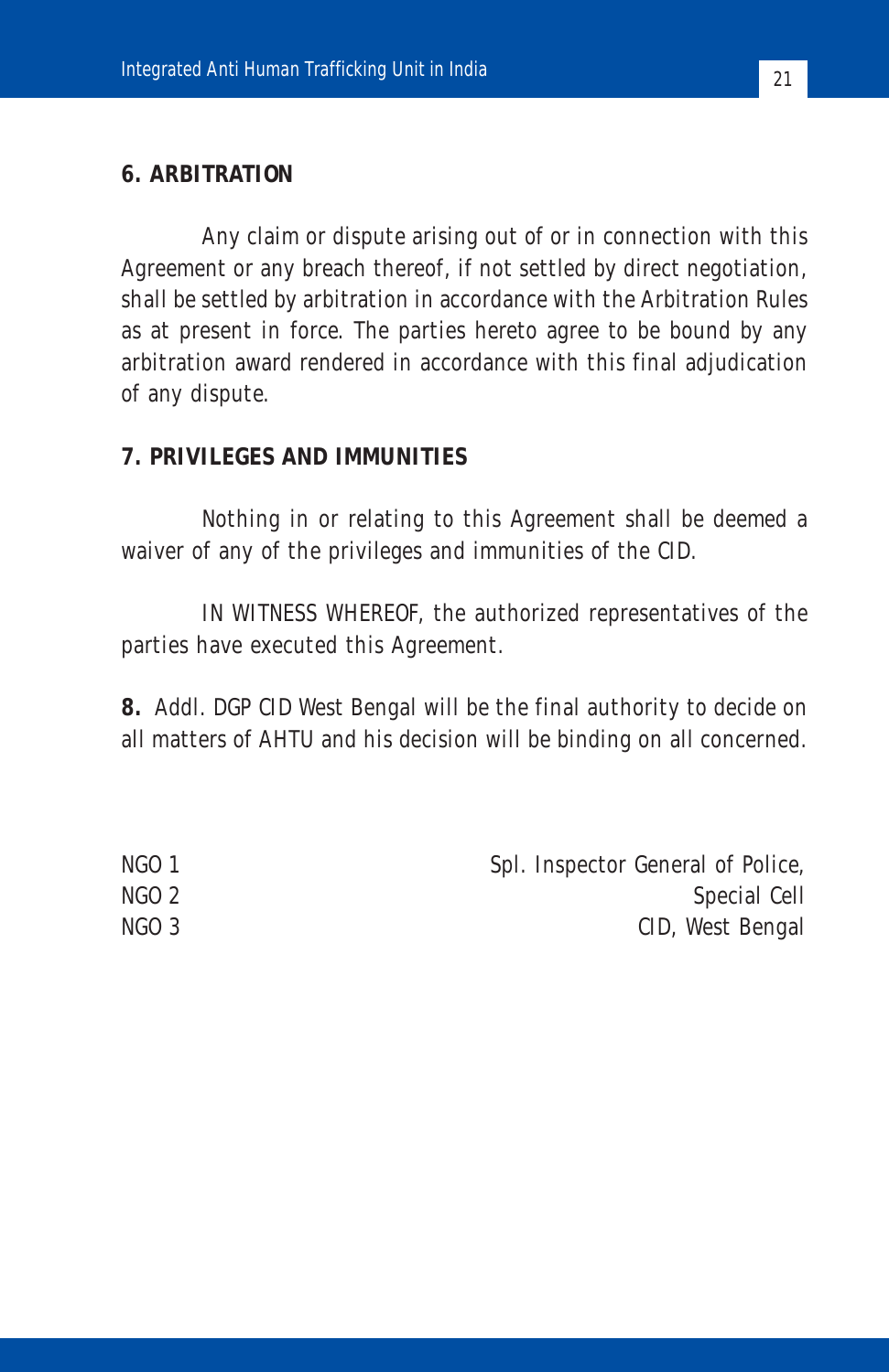#### **6. ARBITRATION**

Any claim or dispute arising out of or in connection with this Agreement or any breach thereof, if not settled by direct negotiation, shall be settled by arbitration in accordance with the Arbitration Rules as at present in force. The parties hereto agree to be bound by any arbitration award rendered in accordance with this final adjudication of any dispute.

#### **7. PRIVILEGES AND IMMUNITIES**

Nothing in or relating to this Agreement shall be deemed a waiver of any of the privileges and immunities of the CID.

IN WITNESS WHEREOF, the authorized representatives of the parties have executed this Agreement.

**8.** Addl. DGP CID West Bengal will be the final authority to decide on all matters of AHTU and his decision will be binding on all concerned.

| Spl. Inspector General of Police,<br>NGO 1 |  |
|--------------------------------------------|--|
| NGO 2<br>Special Cell                      |  |
| NGO 3<br>CID, West Bengal                  |  |